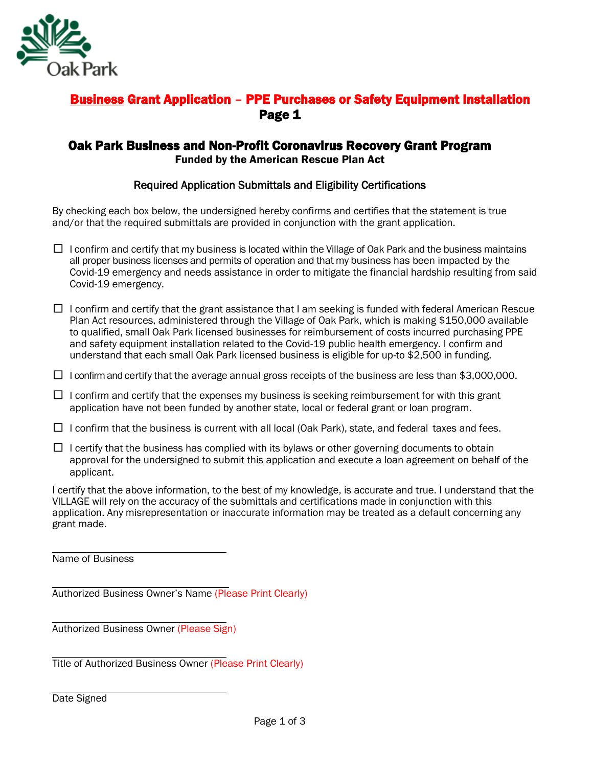

## Business Grant Application – PPE Purchases or Safety Equipment Installation Page 1

#### Oak Park Business and Non-Profit Coronavirus Recovery Grant Program Funded by the American Rescue Plan Act

#### Required Application Submittals and Eligibility Certifications

By checking each box below, the undersigned hereby confirms and certifies that the statement is true and/or that the required submittals are provided in conjunction with the grant application.

- $\Box$  I confirm and certify that my business is located within the Village of Oak Park and the business maintains all proper business licenses and permits of operation and that my business has been impacted by the Covid-19 emergency and needs assistance in order to mitigate the financial hardship resulting from said Covid-19 emergency.
- $\Box$  I confirm and certify that the grant assistance that I am seeking is funded with federal American Rescue Plan Act resources, administered through the Village of Oak Park, which is making \$150,000 available to qualified, small Oak Park licensed businesses for reimbursement of costs incurred purchasing PPE and safety equipment installation related to the Covid-19 public health emergency. I confirm and understand that each small Oak Park licensed business is eligible for up-to \$2,500 in funding.
- $\Box$  I confirm and certify that the average annual gross receipts of the business are less than \$3,000,000.
- $\square$  I confirm and certify that the expenses my business is seeking reimbursement for with this grant application have not been funded by another state, local or federal grant or loan program.
- $\Box$  I confirm that the business is current with all local (Oak Park), state, and federal taxes and fees.
- $\Box$  I certify that the business has complied with its bylaws or other governing documents to obtain approval for the undersigned to submit this application and execute a loan agreement on behalf of the applicant.

I certify that the above information, to the best of my knowledge, is accurate and true. I understand that the VILLAGE will rely on the accuracy of the submittals and certifications made in conjunction with this application. Any misrepresentation or inaccurate information may be treated as a default concerning any grant made.

Name of Business

Authorized Business Owner's Name (Please Print Clearly)

Authorized Business Owner (Please Sign)

Title of Authorized Business Owner (Please Print Clearly)

Date Signed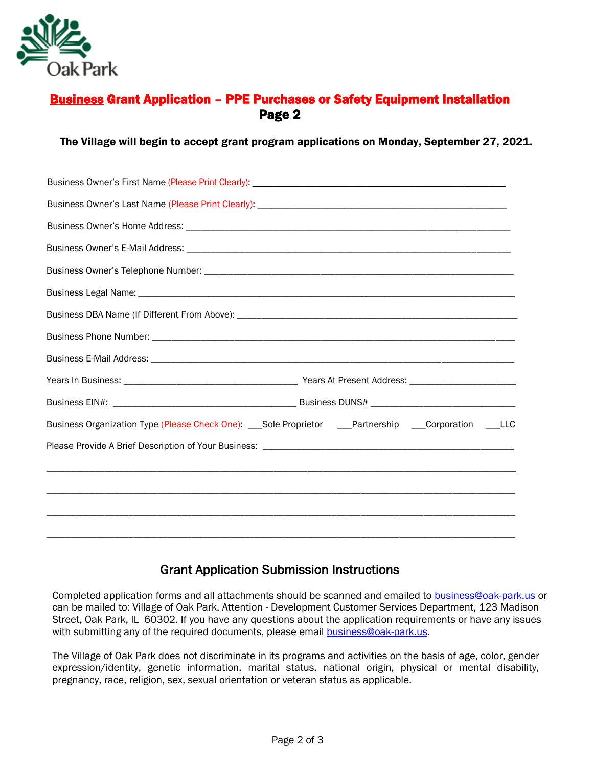

### Business Grant Application – PPE Purchases or Safety Equipment Installation Page 2

#### The Village will begin to accept grant program applications on Monday, September 27, 2021.

| Business Organization Type (Please Check One): ___Sole Proprietor ___Partnership ___Corporation ___LLC |
|--------------------------------------------------------------------------------------------------------|
|                                                                                                        |
|                                                                                                        |
|                                                                                                        |
|                                                                                                        |
|                                                                                                        |

### Grant Application Submission Instructions

Completed application forms and all attachments should be scanned and emailed to [business@oak-park.us](mailto:business@oak-park.us) or can be mailed to: Village of Oak Park, Attention - Development Customer Services Department, 123 Madison Street, Oak Park, IL 60302. If you have any questions about the application requirements or have any issues with submitting any of the required documents, please email **business@oak-park.us**.

The Village of Oak Park does not discriminate in its programs and activities on the basis of age, color, gender expression/identity, genetic information, marital status, national origin, physical or mental disability, pregnancy, race, religion, sex, sexual orientation or veteran status as applicable.